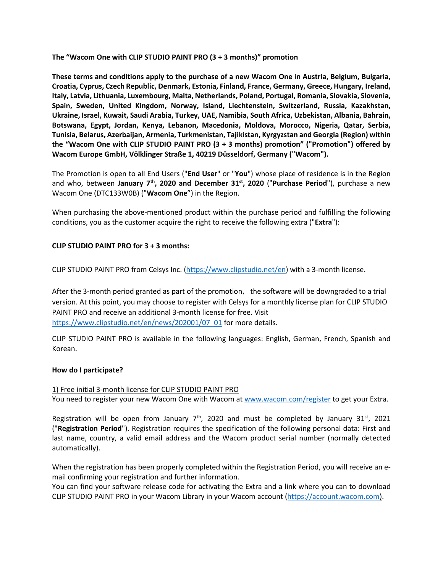**The "Wacom One with CLIP STUDIO PAINT PRO (3 + 3 months)" promotion** 

**These terms and conditions apply to the purchase of a new Wacom One in Austria, Belgium, Bulgaria, Croatia, Cyprus, Czech Republic, Denmark, Estonia, Finland, France, Germany, Greece, Hungary, Ireland, Italy, Latvia, Lithuania, Luxembourg, Malta, Netherlands, Poland, Portugal, Romania, Slovakia, Slovenia, Spain, Sweden, United Kingdom, Norway, Island, Liechtenstein, Switzerland, Russia, Kazakhstan, Ukraine, Israel, Kuwait, Saudi Arabia, Turkey, UAE, Namibia, South Africa, Uzbekistan, Albania, Bahrain, Botswana, Egypt, Jordan, Kenya, Lebanon, Macedonia, Moldova, Morocco, Nigeria, Qatar, Serbia, Tunisia, Belarus, Azerbaijan, Armenia, Turkmenistan, Tajikistan, Kyrgyzstan and Georgia (Region) within the "Wacom One with CLIP STUDIO PAINT PRO (3 + 3 months) promotion" ("Promotion") offered by Wacom Europe GmbH, Völklinger Straße 1, 40219 Düsseldorf, Germany ("Wacom").** 

The Promotion is open to all End Users ("**End User**" or "**You**") whose place of residence is in the Region and who, between **January 7th, 2020 and December 31st, 2020** ("**Purchase Period**"), purchase a new Wacom One (DTC133W0B) ("**Wacom One**") in the Region.

When purchasing the above-mentioned product within the purchase period and fulfilling the following conditions, you as the customer acquire the right to receive the following extra ("**Extra**"):

## **CLIP STUDIO PAINT PRO for 3 + 3 months:**

CLIP STUDIO PAINT PRO from Celsys Inc. [\(https://www.clipstudio.net/en\)](https://www.clipstudio.net/en) with a 3-month license.

After the 3-month period granted as part of the promotion, the software will be downgraded to a trial version. At this point, you may choose to register with Celsys for a monthly license plan for CLIP STUDIO PAINT PRO and receive an additional 3-month license for free. Visit [https://www.clipstudio.net/en/news/202001/07\\_01](https://www.clipstudio.net/en/news/202001/07_01) for more details.

CLIP STUDIO PAINT PRO is available in the following languages: English, German, French, Spanish and Korean.

## **How do I participate?**

1) Free initial 3-month license for CLIP STUDIO PAINT PRO You need to register your new Wacom One with Wacom at [www.wacom.com/register](http://www.wacom.com/register) to get your Extra.

Registration will be open from January  $7<sup>th</sup>$ , 2020 and must be completed by January 31<sup>st</sup>, 2021 ("**Registration Period**"). Registration requires the specification of the following personal data: First and last name, country, a valid email address and the Wacom product serial number (normally detected automatically).

When the registration has been properly completed within the Registration Period, you will receive an email confirming your registration and further information.

You can find your software release code for activating the Extra and a link where you can to download CLIP STUDIO PAINT PRO in your Wacom Library in your Wacom account [\(https://account.wacom.com\)](https://account.wacom.com/).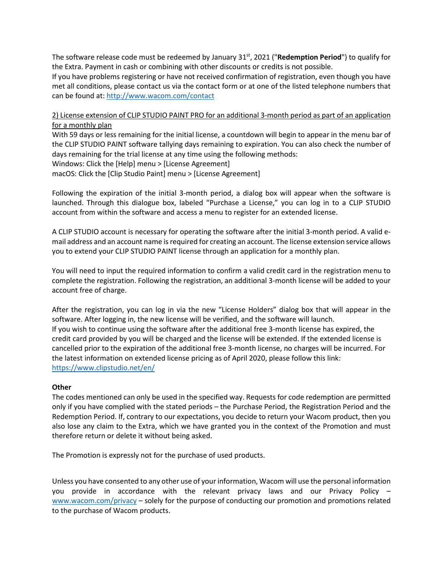The software release code must be redeemed by January 31st, 2021 ("**Redemption Period**") to qualify for the Extra. Payment in cash or combining with other discounts or credits is not possible.

If you have problems registering or have not received confirmation of registration, even though you have met all conditions, please contact us via the contact form or at one of the listed telephone numbers that can be found at:<http://www.wacom.com/contact>

2) License extension of CLIP STUDIO PAINT PRO for an additional 3-month period as part of an application for a monthly plan

With 59 days or less remaining for the initial license, a countdown will begin to appear in the menu bar of the CLIP STUDIO PAINT software tallying days remaining to expiration. You can also check the number of days remaining for the trial license at any time using the following methods: Windows: Click the [Help] menu > [License Agreement]

macOS: Click the [Clip Studio Paint] menu > [License Agreement]

Following the expiration of the initial 3-month period, a dialog box will appear when the software is launched. Through this dialogue box, labeled "Purchase a License," you can log in to a CLIP STUDIO account from within the software and access a menu to register for an extended license.

A CLIP STUDIO account is necessary for operating the software after the initial 3-month period. A valid email address and an account name is required for creating an account. The license extension service allows you to extend your CLIP STUDIO PAINT license through an application for a monthly plan.

You will need to input the required information to confirm a valid credit card in the registration menu to complete the registration. Following the registration, an additional 3-month license will be added to your account free of charge.

After the registration, you can log in via the new "License Holders" dialog box that will appear in the software. After logging in, the new license will be verified, and the software will launch. If you wish to continue using the software after the additional free 3-month license has expired, the credit card provided by you will be charged and the license will be extended. If the extended license is cancelled prior to the expiration of the additional free 3-month license, no charges will be incurred. For the latest information on extended license pricing as of April 2020, please follow this link: <https://www.clipstudio.net/en/>

## **Other**

The codes mentioned can only be used in the specified way. Requests for code redemption are permitted only if you have complied with the stated periods – the Purchase Period, the Registration Period and the Redemption Period. If, contrary to our expectations, you decide to return your Wacom product, then you also lose any claim to the Extra, which we have granted you in the context of the Promotion and must therefore return or delete it without being asked.

The Promotion is expressly not for the purchase of used products.

Unless you have consented to any other use of your information, Wacom will use the personal information you provide in accordance with the relevant privacy laws and our Privacy Policy – [www.wacom.com/privacy](http://www.wacom.com/privacy) – solely for the purpose of conducting our promotion and promotions related to the purchase of Wacom products.